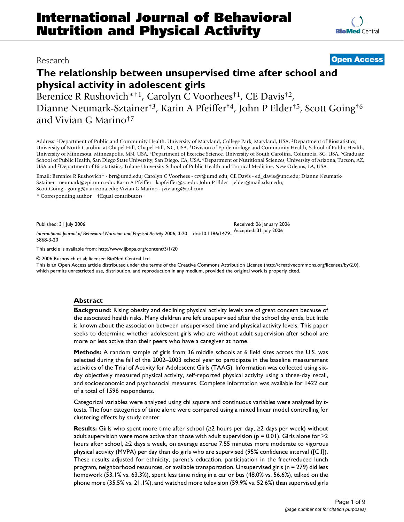## Research **[Open Access](http://www.biomedcentral.com/info/about/charter/)**

**[BioMed](http://www.biomedcentral.com/)** Central

# **The relationship between unsupervised time after school and physical activity in adolescent girls**

Berenice R Rushovich\*†1, Carolyn C Voorhees†1, CE Davis†2, Dianne Neumark-Sztainer†3, Karin A Pfeiffer†4, John P Elder†5, Scott Going†6 and Vivian G Marino†7

Address: 1Department of Public and Community Health, University of Maryland, College Park, Maryland, USA, 2Department of Biostatistics, University of North Carolina at Chapel Hill, Chapel Hill, NC, USA, 3Division of Epidemiology and Community Health, School of Public Health, University of Minnesota, Minneapolis, MN, USA, 4Department of Exercise Science, University of South Carolina, Columbia, SC, USA, 5Graduate School of Public Health, San Diego State University, San Diego, CA, USA, 6Department of Nutritional Sciences, University of Arizona, Tucson, AZ, USA and 7Department of Biostatistics, Tulane University School of Public Health and Tropical Medicine, New Orleans, LA, USA

Email: Berenice R Rushovich\* - brr@umd.edu; Carolyn C Voorhees - ccv@umd.edu; CE Davis - ed\_davis@unc.edu; Dianne Neumark-Sztainer - neumark@epi.umn.edu; Karin A Pfeiffer - kapfeiffer@sc.edu; John P Elder - jelder@mail.sdsu.edu; Scott Going - going@u.arizona.edu; Vivian G Marino - jviviang@aol.com

\* Corresponding author †Equal contributors

Published: 31 July 2006

*International Journal of Behavioral Nutrition and Physical Activity* 2006, **3**:20 doi:10.1186/1479- 5868-3-20 Accepted: 31 July 2006

[This article is available from: http://www.ijbnpa.org/content/3/1/20](http://www.ijbnpa.org/content/3/1/20)

© 2006 Rushovich et al; licensee BioMed Central Ltd.

This is an Open Access article distributed under the terms of the Creative Commons Attribution License [\(http://creativecommons.org/licenses/by/2.0\)](http://creativecommons.org/licenses/by/2.0), which permits unrestricted use, distribution, and reproduction in any medium, provided the original work is properly cited.

Received: 06 January 2006

#### **Abstract**

**Background:** Rising obesity and declining physical activity levels are of great concern because of the associated health risks. Many children are left unsupervised after the school day ends, but little is known about the association between unsupervised time and physical activity levels. This paper seeks to determine whether adolescent girls who are without adult supervision after school are more or less active than their peers who have a caregiver at home.

**Methods:** A random sample of girls from 36 middle schools at 6 field sites across the U.S. was selected during the fall of the 2002–2003 school year to participate in the baseline measurement activities of the Trial of Activity for Adolescent Girls (TAAG). Information was collected using sixday objectively measured physical activity, self-reported physical activity using a three-day recall, and socioeconomic and psychosocial measures. Complete information was available for 1422 out of a total of 1596 respondents.

Categorical variables were analyzed using chi square and continuous variables were analyzed by ttests. The four categories of time alone were compared using a mixed linear model controlling for clustering effects by study center.

**Results:** Girls who spent more time after school (≥2 hours per day, ≥2 days per week) without adult supervision were more active than those with adult supervision ( $p = 0.01$ ). Girls alone for  $\geq 2$ hours after school, ≥2 days a week, on average accrue 7.55 minutes more moderate to vigorous physical activity (MVPA) per day than do girls who are supervised (95% confidence interval ([C.I]). These results adjusted for ethnicity, parent's education, participation in the free/reduced lunch program, neighborhood resources, or available transportation. Unsupervised girls (n = 279) did less homework (53.1% vs. 63.3%), spent less time riding in a car or bus (48.0% vs. 56.6%), talked on the phone more (35.5% vs. 21.1%), and watched more television (59.9% vs. 52.6%) than supervised girls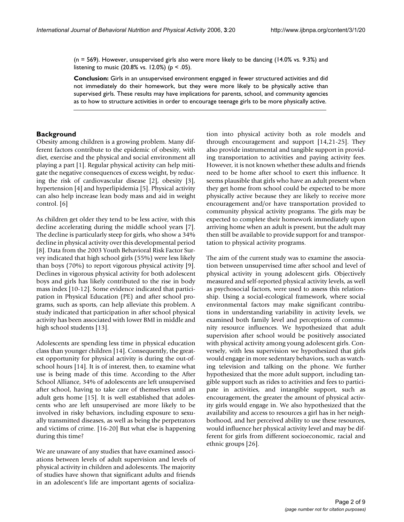(n = 569). However, unsupervised girls also were more likely to be dancing (14.0% vs. 9.3%) and listening to music (20.8% vs. 12.0%) ( $p < .05$ ).

**Conclusion:** Girls in an unsupervised environment engaged in fewer structured activities and did not immediately do their homework, but they were more likely to be physically active than supervised girls. These results may have implications for parents, school, and community agencies as to how to structure activities in order to encourage teenage girls to be more physically active.

#### **Background**

Obesity among children is a growing problem. Many different factors contribute to the epidemic of obesity, with diet, exercise and the physical and social environment all playing a part [1]. Regular physical activity can help mitigate the negative consequences of excess weight, by reducing the risk of cardiovascular disease [2], obesity [3], hypertension [4] and hyperlipidemia [5]. Physical activity can also help increase lean body mass and aid in weight control. [6]

As children get older they tend to be less active, with this decline accelerating during the middle school years [7]. The decline is particularly steep for girls, who show a 34% decline in physical activity over this developmental period [8]. Data from the 2003 Youth Behavioral Risk Factor Survey indicated that high school girls (55%) were less likely than boys (70%) to report vigorous physical activity [9]. Declines in vigorous physical activity for both adolescent boys and girls has likely contributed to the rise in body mass index [10-12]. Some evidence indicated that participation in Physical Education (PE) and after school programs, such as sports, can help alleviate this problem. A study indicated that participation in after school physical activity has been associated with lower BMI in middle and high school students [13].

Adolescents are spending less time in physical education class than younger children [14]. Consequently, the greatest opportunity for physical activity is during the out-ofschool hours [14]. It is of interest, then, to examine what use is being made of this time. According to the After School Alliance, 34% of adolescents are left unsupervised after school, having to take care of themselves until an adult gets home [15]. It is well established that adolescents who are left unsupervised are more likely to be involved in risky behaviors, including exposure to sexually transmitted diseases, as well as being the perpetrators and victims of crime. [16-20] But what else is happening during this time?

We are unaware of any studies that have examined associations between levels of adult supervision and levels of physical activity in children and adolescents. The majority of studies have shown that significant adults and friends in an adolescent's life are important agents of socialization into physical activity both as role models and through encouragement and support [14,21-25]. They also provide instrumental and tangible support in providing transportation to activities and paying activity fees. However, it is not known whether these adults and friends need to be home after school to exert this influence. It seems plausible that girls who have an adult present when they get home from school could be expected to be more physically active because they are likely to receive more encouragement and/or have transportation provided to community physical activity programs. The girls may be expected to complete their homework immediately upon arriving home when an adult is present, but the adult may then still be available to provide support for and transportation to physical activity programs.

The aim of the current study was to examine the association between unsupervised time after school and level of physical activity in young adolescent girls. Objectively measured and self-reported physical activity levels, as well as psychosocial factors, were used to assess this relationship. Using a social-ecological framework, where social environmental factors may make significant contributions in understanding variability in activity levels, we examined both family level and perceptions of community resource influences. We hypothesized that adult supervision after school would be positively associated with physical activity among young adolescent girls. Conversely, with less supervision we hypothesized that girls would engage in more sedentary behaviors, such as watching television and talking on the phone. We further hypothesized that the more adult support, including tangible support such as rides to activities and fees to participate in activities, and intangible support, such as encouragement, the greater the amount of physical activity girls would engage in. We also hypothesized that the availability and access to resources a girl has in her neighborhood, and her perceived ability to use these resources, would influence her physical activity level and may be different for girls from different socioeconomic, racial and ethnic groups [26].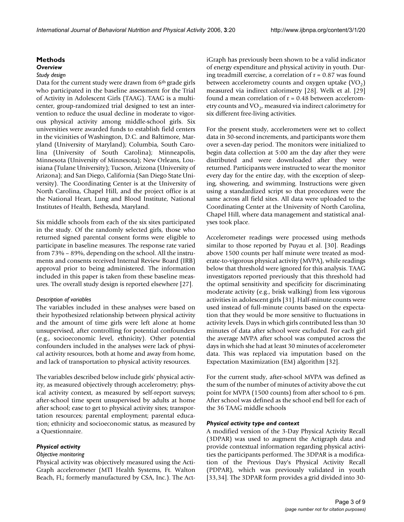#### **Methods**

### *Overview*

#### *Study design*

Data for the current study were drawn from 6<sup>th</sup> grade girls who participated in the baseline assessment for the Trial of Activity in Adolescent Girls (TAAG). TAAG is a multicenter, group-randomized trial designed to test an intervention to reduce the usual decline in moderate to vigorous physical activity among middle-school girls. Six universities were awarded funds to establish field centers in the vicinities of Washington, D.C. and Baltimore, Maryland (University of Maryland); Columbia, South Carolina (University of South Carolina); Minneapolis, Minnesota (University of Minnesota); New Orleans, Louisiana (Tulane University); Tucson, Arizona (University of Arizona); and San Diego, California (San Diego State University). The Coordinating Center is at the University of North Carolina, Chapel Hill, and the project office is at the National Heart, Lung and Blood Institute, National Institutes of Health, Bethesda, Maryland.

Six middle schools from each of the six sites participated in the study. Of the randomly selected girls, those who returned signed parental consent forms were eligible to participate in baseline measures. The response rate varied from 73% – 89%, depending on the school. All the instruments and consents received Internal Review Board (IRB) approval prior to being administered. The information included in this paper is taken from these baseline measures. The overall study design is reported elsewhere [27].

#### *Description of variables*

The variables included in these analyses were based on their hypothesized relationship between physical activity and the amount of time girls were left alone at home unsupervised, after controlling for potential confounders (e.g., socioeconomic level, ethnicity). Other potential confounders included in the analyses were lack of physical activity resources, both at home and away from home, and lack of transportation to physical activity resources.

The variables described below include girls' physical activity, as measured objectively through accelerometry; physical activity context, as measured by self-report surveys; after-school time spent unsupervised by adults at home after school; ease to get to physical activity sites; transportation resources; parental employment; parental education; ethnicity and socioeconomic status, as measured by a Questionnaire.

#### *Physical activity*

#### *Objective monitoring*

Physical activity was objectively measured using the Acti-Graph accelerometer (MTI Health Systems, Ft. Walton Beach, FL; formerly manufactured by CSA, Inc.). The ActiGraph has previously been shown to be a valid indicator of energy expenditure and physical activity in youth. During treadmill exercise, a correlation of  $r = 0.87$  was found between accelerometry counts and oxygen uptake  $(VO<sub>2</sub>)$ measured via indirect calorimetry [28]. Welk et al. [29] found a mean correlation of  $r = 0.48$  between accelerometry counts and VO<sub>2</sub>, measured via indirect calorimetry for six different free-living activities.

For the present study, accelerometers were set to collect data in 30-second increments, and participants wore them over a seven-day period. The monitors were initialized to begin data collection at 5:00 am the day after they were distributed and were downloaded after they were returned. Participants were instructed to wear the monitor every day for the entire day, with the exception of sleeping, showering, and swimming. Instructions were given using a standardized script so that procedures were the same across all field sites. All data were uploaded to the Coordinating Center at the University of North Carolina, Chapel Hill, where data management and statistical analyses took place.

Accelerometer readings were processed using methods similar to those reported by Puyau et al. [30]. Readings above 1500 counts per half minute were treated as moderate-to-vigorous physical activity (MVPA), while readings below that threshold were ignored for this analysis. TAAG investigators reported previously that this threshold had the optimal sensitivity and specificity for discriminating moderate activity (e.g., brisk walking) from less vigorous activities in adolescent girls [31]. Half-minute counts were used instead of full-minute counts based on the expectation that they would be more sensitive to fluctuations in activity levels. Days in which girls contributed less than 30 minutes of data after school were excluded. For each girl the average MVPA after school was computed across the days in which she had at least 30 minutes of accelerometer data. This was replaced via imputation based on the Expectation Maximization (EM) algorithm [32].

For the current study, after-school MVPA was defined as the sum of the number of minutes of activity above the cut point for MVPA (1500 counts) from after school to 6 pm. After school was defined as the school end bell for each of the 36 TAAG middle schools

#### *Physical activity type and context*

A modified version of the 3-Day Physical Activity Recall (3DPAR) was used to augment the Actigraph data and provide contextual information regarding physical activities the participants performed. The 3DPAR is a modification of the Previous Day's Physical Activity Recall (PDPAR), which was previously validated in youth [33,34]. The 3DPAR form provides a grid divided into 30-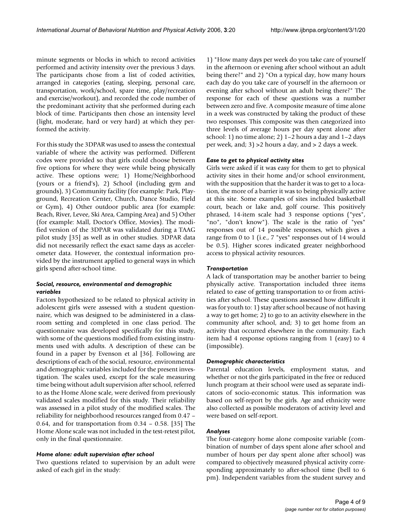minute segments or blocks in which to record activities performed and activity intensity over the previous 3 days. The participants chose from a list of coded activities, arranged in categories (eating, sleeping, personal care, transportation, work/school, spare time, play/recreation and exercise/workout), and recorded the code number of the predominant activity that she performed during each block of time. Participants then chose an intensity level (light, moderate, hard or very hard) at which they performed the activity.

For this study the 3DPAR was used to assess the contextual variable of where the activity was performed. Different codes were provided so that girls could choose between five options for where they were while being physically active. These options were; 1) Home/Neighborhood (yours or a friend's), 2) School (including gym and grounds), 3) Community facility (for example: Park, Playground, Recreation Center, Church, Dance Studio, Field or Gym), 4) Other outdoor public area (for example: Beach, River, Levee, Ski Area, Camping Area) and 5) Other (for example: Mall, Doctor's Office, Movies). The modified version of the 3DPAR was validated during a TAAG pilot study [35] as well as in other studies. 3DPAR data did not necessarily reflect the exact same days as accelerometer data. However, the contextual information provided by the instrument applied to general ways in which girls spend after-school time.

#### *Social, resource, environmental and demographic variables*

Factors hypothesized to be related to physical activity in adolescent girls were assessed with a student questionnaire, which was designed to be administered in a classroom setting and completed in one class period. The questionnaire was developed specifically for this study, with some of the questions modified from existing instruments used with adults. A description of these can be found in a paper by Evenson et al [36]. Following are descriptions of each of the social, resource, environmental and demographic variables included for the present investigation. The scales used, except for the scale measuring time being without adult supervision after school, referred to as the Home Alone scale, were derived from previously validated scales modified for this study. Their reliability was assessed in a pilot study of the modified scales. The reliability for neighborhood resources ranged from 0.47 – 0.64, and for transportation from 0.34 – 0.58. [35] The Home Alone scale was not included in the test-retest pilot, only in the final questionnaire.

#### *Home alone: adult supervision after school*

Two questions related to supervision by an adult were asked of each girl in the study:

1) "How many days per week do you take care of yourself in the afternoon or evening after school without an adult being there?" and 2) "On a typical day, how many hours each day do you take care of yourself in the afternoon or evening after school without an adult being there?" The response for each of these questions was a number between zero and five. A composite measure of time alone in a week was constructed by taking the product of these two responses. This composite was then categorized into three levels of average hours per day spent alone after school: 1) no time alone; 2) 1–2 hours a day and 1–2 days per week, and; 3) >2 hours a day, and > 2 days a week.

#### *Ease to get to physical activity sites*

Girls were asked if it was easy for them to get to physical activity sites in their home and/or school environment, with the supposition that the harder it was to get to a location, the more of a barrier it was to being physically active at this site. Some examples of sites included basketball court, beach or lake and, golf course. This positively phrased, 14-item scale had 3 response options ("yes", "no", "don't know"). The scale is the ratio of "yes" responses out of 14 possible responses, which gives a range from 0 to 1 (i.e., 7 "yes" responses out of 14 would be 0.5). Higher scores indicated greater neighborhood access to physical activity resources.

#### *Transportation*

A lack of transportation may be another barrier to being physically active. Transportation included three items related to ease of getting transportation to or from activities after school. These questions assessed how difficult it was for youth to: 1) stay after school because of not having a way to get home; 2) to go to an activity elsewhere in the community after school, and; 3) to get home from an activity that occurred elsewhere in the community. Each item had 4 response options ranging from 1 (easy) to 4 (impossible).

#### *Demographic characteristics*

Parental education levels, employment status, and whether or not the girls participated in the free or reduced lunch program at their school were used as separate indicators of socio-economic status. This information was based on self-report by the girls. Age and ethnicity were also collected as possible moderators of activity level and were based on self-report.

#### *Analyses*

The four-category home alone composite variable (combination of number of days spent alone after school and number of hours per day spent alone after school) was compared to objectively measured physical activity corresponding approximately to after-school time (bell to 6 pm). Independent variables from the student survey and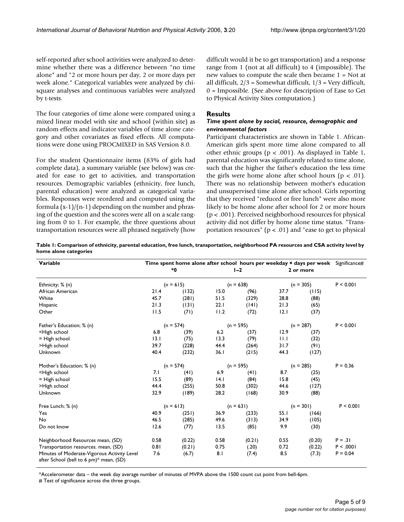self-reported after school activities were analyzed to determine whether there was a difference between "no time alone" and "2 or more hours per day, 2 or more days per week alone." Categorical variables were analyzed by chisquare analyses and continuous variables were analyzed by t-tests.

The four categories of time alone were compared using a mixed linear model with site and school (within site) as random effects and indicator variables of time alone category and other covariates as fixed effects. All computations were done using PROCMIXED in SAS Version 8.0.

For the student Questionnaire items (83% of girls had complete data), a summary variable (see below) was created for ease to get to activities, and transportation resources. Demographic variables (ethnicity, free lunch, parental education) were analyzed as categorical variables. Responses were reordered and computed using the formula  $(x-1)/(n-1)$  depending on the number and phrasing of the question and the scores were all on a scale ranging from 0 to 1. For example, the three questions about transportation resources were all phrased negatively (how difficult would it be to get transportation) and a response range from 1 (not at all difficult) to 4 (impossible). The new values to compute the scale then became 1 = Not at all difficult,  $2/3$  = Somewhat difficult,  $1/3$  = Very difficult, 0 = Impossible. (See above for description of Ease to Get to Physical Activity Sites computation.)

#### **Results**

#### *Time spent alone by social, resource, demographic and environmental factors*

Participant characteristics are shown in Table 1. African-American girls spent more time alone compared to all other ethnic groups ( $p < .001$ ). As displayed in Table 1, parental education was significantly related to time alone, such that the higher the father's education the less time the girls were home alone after school hours ( $p < .01$ ). There was no relationship between mother's education and unsupervised time alone after school. Girls reporting that they received "reduced or free lunch" were also more likely to be home alone after school for 2 or more hours (p < .001). Perceived neighborhood resources for physical activity did not differ by home alone time status. "Transportation resources" ( $p < .01$ ) and "ease to get to physical

**Table 1: Comparison of ethnicity, parental education, free lunch, transportation, neighborhood PA resources and CSA activity level by home alone categories**

| Variable                                                                                                            | Time spent home alone after school hours per weekday x days per week Significance# |             |                      |             |                          |             |            |  |
|---------------------------------------------------------------------------------------------------------------------|------------------------------------------------------------------------------------|-------------|----------------------|-------------|--------------------------|-------------|------------|--|
|                                                                                                                     | *0<br>$(n = 615)$                                                                  |             | $1-2$<br>$(n = 638)$ |             | 2 or more<br>$(n = 305)$ |             |            |  |
| Ethnicity; % (n)                                                                                                    |                                                                                    |             |                      |             |                          |             | P < 0.001  |  |
| African American                                                                                                    | 21.4                                                                               | (132)       | 15.0                 | (96)        | 37.7                     | (115)       |            |  |
| White                                                                                                               | 45.7                                                                               | (281)       | 51.5                 | (329)       | 28.8                     | (88)        |            |  |
| Hispanic                                                                                                            | 21.3                                                                               | (131)       | 22.1                 | (141)       | 21.3                     | (65)        |            |  |
| Other                                                                                                               | 11.5                                                                               | (71)        | 11.2                 | (72)        | 12.1                     | (37)        |            |  |
| Father's Education; % (n)                                                                                           |                                                                                    | $(n = 574)$ |                      | $(n = 595)$ |                          | $(n = 287)$ | P < 0.001  |  |
| <high school<="" td=""><td>6.8</td><td>(39)</td><td>6.2</td><td>(37)</td><td>12.9</td><td>(37)</td><td></td></high> | 6.8                                                                                | (39)        | 6.2                  | (37)        | 12.9                     | (37)        |            |  |
| $=$ High school                                                                                                     | 3.1                                                                                | (75)        | 13.3                 | (79)        | 11.1                     | (32)        |            |  |
| >High school                                                                                                        | 39.7                                                                               | (228)       | 44.4                 | (264)       | 31.7                     | (91)        |            |  |
| Unknown                                                                                                             | 40.4                                                                               | (232)       | 36.1                 | (215)       | 44.3                     | (127)       |            |  |
| Mother's Education; % (n)                                                                                           |                                                                                    | $(n = 574)$ |                      | $(n = 595)$ |                          | $(n = 285)$ | $P = 0.36$ |  |
| <high school<="" td=""><td>7.1</td><td>(41)</td><td>6.9</td><td>(41)</td><td>8.7</td><td>(25)</td><td></td></high>  | 7.1                                                                                | (41)        | 6.9                  | (41)        | 8.7                      | (25)        |            |  |
| $=$ High school                                                                                                     | 15.5                                                                               | (89)        | 4.1                  | (84)        | 15.8                     | (45)        |            |  |
| >High school                                                                                                        | 44.4                                                                               | (255)       | 50.8                 | (302)       | 44.6                     | (127)       |            |  |
| Unknown                                                                                                             | 32.9                                                                               | (189)       | 28.2                 | (168)       | 30.9                     | (88)        |            |  |
| Free Lunch; % (n)                                                                                                   | $(n = 613)$                                                                        |             | $(n = 631)$          |             | $(n = 301)$              |             | P < 0.001  |  |
| Yes                                                                                                                 | 40.9                                                                               | (251)       | 36.9                 | (233)       | 55.1                     | (166)       |            |  |
| <b>No</b>                                                                                                           | 46.5                                                                               | (285)       | 49.6                 | (313)       | 34.9                     | (105)       |            |  |
| Do not know                                                                                                         | 12.6                                                                               | (77)        | 13.5                 | (85)        | 9.9                      | (30)        |            |  |
| Neighborhood Resources mean, (SD)                                                                                   | 0.58                                                                               | (0.22)      | 0.58                 | (0.21)      | 0.55                     | (0.20)      | $P = .31$  |  |
| Transportation resources. mean, (SD)                                                                                | 0.81                                                                               | (0.21)      | 0.75                 | (.20)       | 0.72                     | (0.22)      | P < .0001  |  |
| Minutes of Moderate-Vigorous Activity Level<br>after School (bell to 6 pm)* mean, (SD)                              | 7.6                                                                                | (6.7)       | 8.1                  | (7.4)       | 8.5                      | (7.3)       | $P = 0.04$ |  |

\*Accelerometer data – the week day average number of minutes of MVPA above the 1500 count cut point from bell-6pm. # Test of significance across the three groups.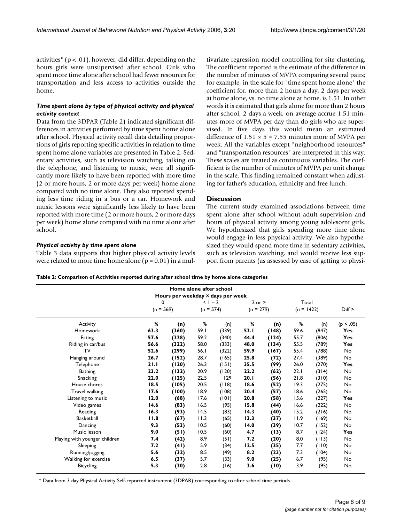activities" ( $p < .01$ ), however, did differ, depending on the hours girls were unsupervised after school. Girls who spent more time alone after school had fewer resources for transportation and less access to activities outside the home.

#### *Time spent alone by type of physical activity and physical activity context*

Data from the 3DPAR (Table 2) indicated significant differences in activities performed by time spent home alone after school. Physical activity recall data detailing proportions of girls reporting specific activities in relation to time spent home alone variables are presented in Table 2. Sedentary activities, such as television watching, talking on the telephone, and listening to music, were all significantly more likely to have been reported with more time (2 or more hours, 2 or more days per week) home alone compared with no time alone. They also reported spending less time riding in a bus or a car. Homework and music lessons were significantly less likely to have been reported with more time (2 or more hours, 2 or more days per week) home alone compared with no time alone after school.

#### *Physical activity by time spent alone*

Table 3 data supports that higher physical activity levels were related to more time home alone  $(p = 0.01)$  in a multivariate regression model controlling for site clustering. The coefficient reported is the estimate of the difference in the number of minutes of MVPA comparing several pairs; for example, in the scale for "time spent home alone" the coefficient for, more than 2 hours a day, 2 days per week at home alone, vs. no time alone at home, is 1.51. In other words it is estimated that girls alone for more than 2 hours after school, 2 days a week, on average accrue 1.51 minutes more of MVPA per day than do girls who are supervised. In five days this would mean an estimated difference of  $1.51 \times 5 = 7.55$  minutes more of MVPA per week. All the variables except "neighborhood resources" and "transportation resources" are interpreted in this way. These scales are treated as continuous variables. The coefficient is the number of minutes of MVPA per unit change in the scale. This finding remained constant when adjusting for father's education, ethnicity and free lunch.

#### **Discussion**

The current study examined associations between time spent alone after school without adult supervision and hours of physical activity among young adolescent girls. We hypothesized that girls spending more time alone would engage in less physical activity. We also hypothesized they would spend more time in sedentary activities, such as television watching, and would receive less support from parents (as assessed by ease of getting to physi-

**Table 2: Comparison of Activities reported during after school time by home alone categories**

| Home alone after school<br>Hours per weekday x days per week |                  |       |                             |       |                           |       |                       |       |           |
|--------------------------------------------------------------|------------------|-------|-----------------------------|-------|---------------------------|-------|-----------------------|-------|-----------|
|                                                              |                  |       |                             |       |                           |       |                       |       |           |
|                                                              | 0<br>$(n = 569)$ |       | $\leq$ 1 - 2<br>$(n = 574)$ |       | $2$ or $>$<br>$(n = 279)$ |       | Total<br>$(n = 1422)$ |       | Diff      |
|                                                              |                  |       |                             |       |                           |       |                       |       |           |
| Activity                                                     | $\%$             | (n)   | $\%$                        | (n)   | %                         | (n)   | %                     | (n)   | (p < .05) |
| Homework                                                     | 63.3             | (360) | 59.I                        | (339) | 53.I                      | (148) | 59.6                  | (847) | Yes       |
| Eating                                                       | 57.6             | (328) | 59.2                        | (340) | 44.4                      | (124) | 55.7                  | (806) | Yes       |
| Riding in car/bus                                            | 56.6             | (322) | 58.0                        | (333) | 48.0                      | (134) | 55.5                  | (789) | Yes       |
| т٧                                                           | 52.6             | (299) | 56.1                        | (322) | 59.9                      | (167) | 55.4                  | (788) | No        |
| Hanging around                                               | 26.7             | (152) | 28.7                        | (165) | 25.8                      | (72)  | 27.4                  | (389) | No        |
| Telephone                                                    | 21.1             | (120) | 26.3                        | (151) | 35.5                      | (99)  | 26.0                  | (270) | Yes       |
| <b>Bathing</b>                                               | 23.2             | (132) | 20.9                        | (120) | 22.2                      | (62)  | 22.1                  | (314) | No        |
| Snacking                                                     | 22.0             | (125) | 22.5                        | 129   | 20.1                      | (56)  | 21.8                  | (310) | No        |
| House chores                                                 | 18.5             | (105) | 20.5                        | (118) | 18.6                      | (52)  | 19.3                  | (275) | No        |
| <b>Travel walking</b>                                        | 17.6             | (100) | 18.9                        | (108) | 20.4                      | (57)  | 18.6                  | (265) | No        |
| Listening to music                                           | 12.0             | (68)  | 17.6                        | (101) | 20.8                      | (58)  | 15.6                  | (227) | Yes       |
| Video games                                                  | 14.6             | (83)  | 16.5                        | (95)  | 15.8                      | (44)  | 16.6                  | (222) | No        |
| Reading                                                      | 16.3             | (93)  | 14.5                        | (83)  | 14.3                      | (40)  | 15.2                  | (216) | No        |
| <b>Basketball</b>                                            | 11.8             | (67)  | 11.3                        | (65)  | 13.3                      | (37)  | 11.9                  | (169) | No        |
| Dancing                                                      | 9.3              | (53)  | 10.5                        | (60)  | 14.0                      | (39)  | 10.7                  | (152) | No        |
| Music lesson                                                 | 9.0              | (51)  | 10.5                        | (60)  | 4.7                       | (13)  | 8.7                   | (124) | Yes       |
| Playing with younger children                                | 7.4              | (42)  | 8.9                         | (51)  | 7.2                       | (20)  | 8.0                   | (113) | No        |
| Sleeping                                                     | 7.2              | (41)  | 5.9                         | (34)  | 12.5                      | (35)  | 7.7                   | (110) | No        |
| Running/jogging                                              | 5.6              | (32)  | 8.5                         | (49)  | 8.2                       | (23)  | 7.3                   | (104) | No        |
| Walking for exercise                                         | 6.5              | (37)  | 5.7                         | (33)  | 9.0                       | (25)  | 6.7                   | (95)  | No        |
| <b>Bicycling</b>                                             | 5.3              | (30)  | 2.8                         | (16)  | 3.6                       | (10)  | 3.9                   | (95)  | No        |

\* Data from 3 day Physical Activity Self-reported instrument (3DPAR) corresponding to after school time periods.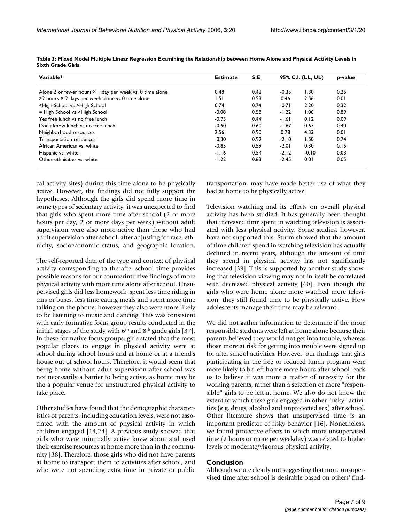| Variable*                                                | <b>Estimate</b> | S.E. |         | 95% C.I. (LL, UL) | p-value |
|----------------------------------------------------------|-----------------|------|---------|-------------------|---------|
| Alone 2 or fewer hours × 1 day per week vs. 0 time alone | 0.48            | 0.42 | $-0.35$ | 1.30              | 0.25    |
| >2 hours × 2 days per week alone vs 0 time alone         | 1.51            | 0.53 | 0.46    | 2.56              | 0.01    |
| <high school="" vs="">High School</high>                 | 0.74            | 0.74 | $-0.71$ | 2.20              | 0.32    |
| = High School vs > High School                           | $-0.08$         | 0.58 | $-1.22$ | 1.06              | 0.89    |
| Yes free lunch vs no free lunch                          | $-0.75$         | 0.44 | $-1.61$ | 0.12              | 0.09    |
| Don't know lunch vs no free lunch                        | $-0.50$         | 0.60 | $-1.67$ | 0.67              | 0.40    |
| Neighborhood resources                                   | 2.56            | 0.90 | 0.78    | 4.33              | 0.01    |
| Transportation resources                                 | $-0.30$         | 0.92 | $-2.10$ | 1.50              | 0.74    |
| African American vs. white                               | $-0.85$         | 0.59 | $-2.01$ | 0.30              | 0.15    |
| Hispanic vs. white                                       | $-1.16$         | 0.54 | $-2.12$ | $-0.10$           | 0.03    |
| Other ethnicities vs. white                              | $-1.22$         | 0.63 | $-2.45$ | 0.01              | 0.05    |

**Table 3: Mixed Model Multiple Linear Regression Examining the Relationship between Home Alone and Physical Activity Levels in Sixth Grade Girls**

cal activity sites) during this time alone to be physically active. However, the findings did not fully support the hypotheses. Although the girls did spend more time in some types of sedentary activity, it was unexpected to find that girls who spent more time after school (2 or more hours per day, 2 or more days per week) without adult supervision were also more active than those who had adult supervision after school, after adjusting for race, ethnicity, socioeconomic status, and geographic location.

The self-reported data of the type and context of physical activity corresponding to the after-school time provides possible reasons for our counterintuitive findings of more physical activity with more time alone after school. Unsupervised girls did less homework, spent less time riding in cars or buses, less time eating meals and spent more time talking on the phone; however they also were more likely to be listening to music and dancing. This was consistent with early formative focus group results conducted in the initial stages of the study with  $6<sup>th</sup>$  and  $8<sup>th</sup>$  grade girls [37]. In these formative focus groups, girls stated that the most popular places to engage in physical activity were at school during school hours and at home or at a friend's house out of school hours. Therefore, it would seem that being home without adult supervision after school was not necessarily a barrier to being active, as home may be the a popular venue for unstructured physical activity to take place.

Other studies have found that the demographic characteristics of parents, including education levels, were not associated with the amount of physical activity in which children engaged [14,24]. A previous study showed that girls who were minimally active knew about and used their exercise resources at home more than in the community [38]. Therefore, those girls who did not have parents at home to transport them to activities after school, and who were not spending extra time in private or public transportation, may have made better use of what they had at home to be physically active.

Television watching and its effects on overall physical activity has been studied. It has generally been thought that increased time spent in watching television is associated with less physical activity. Some studies, however, have not supported this. Sturm showed that the amount of time children spend in watching television has actually declined in recent years, although the amount of time they spend in physical activity has not significantly increased [39]. This is supported by another study showing that television viewing may not in itself be correlated with decreased physical activity [40]. Even though the girls who were home alone more watched more television, they still found time to be physically active. How adolescents manage their time may be relevant.

We did not gather information to determine if the more responsible students were left at home alone because their parents believed they would not get into trouble, whereas those more at risk for getting into trouble were signed up for after school activities. However, our findings that girls participating in the free or reduced lunch program were more likely to be left home more hours after school leads us to believe it was more a matter of necessity for the working parents, rather than a selection of more "responsible" girls to be left at home. We also do not know the extent to which these girls engaged in other "risky" activities (e.g. drugs, alcohol and unprotected sex) after school. Other literature shows that unsupervised time is an important predictor of risky behavior [16]. Nonetheless, we found protective effects in which more unsupervised time (2 hours or more per weekday) was related to higher levels of moderate/vigorous physical activity.

#### **Conclusion**

Although we are clearly not suggesting that more unsupervised time after school is desirable based on others' find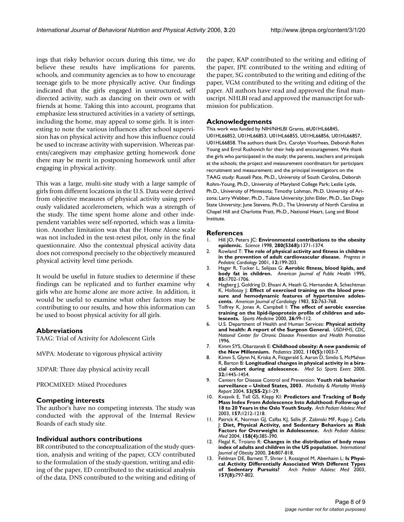ings that risky behavior occurs during this time, we do believe these results have implications for parents, schools, and community agencies as to how to encourage teenage girls to be more physically active. Our findings indicated that the girls engaged in unstructured, self directed activity, such as dancing on their own or with friends at home. Taking this into account, programs that emphasize less structured activities in a variety of settings, including the home, may appeal to some girls. It is interesting to note the various influences after school supervision has on physical activity and how this influence could be used to increase activity with supervision. Whereas parents/caregivers may emphasize getting homework done there may be merit in postponing homework until after engaging in physical activity.

This was a large, multi-site study with a large sample of girls from different locations in the U.S. Data were derived from objective measures of physical activity using previously validated accelerometers, which was a strength of the study. The time spent home alone and other independent variables were self-reported, which was a limitation. Another limitation was that the Home Alone scale was not included in the test-retest pilot, only in the final questionnaire. Also the contextual physical activity data does not correspond precisely to the objectively measured physical activity level time periods.

It would be useful in future studies to determine if these findings can be replicated and to further examine why girls who are home alone are more active. In addition, it would be useful to examine what other factors may be contributing to our results, and how this information can be used to boost physical activity for all girls.

#### **Abbreviations**

TAAG: Trial of Activity for Adolescent Girls

MVPA: Moderate to vigorous physical activity

3DPAR: Three day physical activity recall

PROCMIXED: Mixed Procedures

#### **Competing interests**

The author's have no competing interests. The study was conducted with the approval of the Internal Review Boards of each study site.

#### **Individual authors contributions**

BR contributed to the conceptualization of the study question, analysis and writing of the paper, CCV contributed to the formulation of the study question, writing and editing of the paper, ED contributed to the statistical analysis of the data, DNS contributed to the writing and editing of the paper, KAP contributed to the writing and editing of the paper, JPE contributed to the writing and editing of the paper, SG contributed to the writing and editing of the paper, VGM contributed to the writing and editing of the paper. All authors have read and approved the final manuscript. NHLBI read and approved the manuscript for submission for publication.

#### **Acknowledgements**

This work was funded by NIH/NHLBI Grants, #U01HL66845, U01HL66852, U01HL66853, U01HL66855, U01HL66856, U01HL66857, U01HL66858. The authors thank Drs. Carolyn Voorhees, Deborah Rohm Young and Errol Rushovich for their help and encouragement. We thank the girls who participated in the study; the parents, teachers and principals at the schools; the project and measurement coordinators for participant recruitment and measurement; and the principal investigators on the TAAG study: Russell Pate, Ph.D., University of South Carolina, Deborah Rohm-Young, Ph.D., University of Maryland College Park; Leslie Lytle, Ph.D., University of Minnesota; Timothy Lohman, Ph.D. University of Arizona; Larry Webber, Ph.D., Tulane University; John Elder, Ph.D., San Diego State University; June Stevens, Ph.D., The University of North Carolina at Chapel Hill and Charlotte Pratt, Ph.D., National Heart, Lung and Blood Institute.

#### **References**

- 1. Hill JO, Peters JC: **[Environmental contributions to the obesity](http://www.ncbi.nlm.nih.gov/entrez/query.fcgi?cmd=Retrieve&db=PubMed&dopt=Abstract&list_uids=9603719) [epidemic.](http://www.ncbi.nlm.nih.gov/entrez/query.fcgi?cmd=Retrieve&db=PubMed&dopt=Abstract&list_uids=9603719)** *Science* 1998, **280(5368):**1371-1374.
- 2. Rowland T: **[The role of physical activity and fitness in children](http://www.ncbi.nlm.nih.gov/entrez/query.fcgi?cmd=Retrieve&db=PubMed&dopt=Abstract&list_uids=11223348) [in the prevention of adult cardiovascular disease.](http://www.ncbi.nlm.nih.gov/entrez/query.fcgi?cmd=Retrieve&db=PubMed&dopt=Abstract&list_uids=11223348)** *Progress in Pediatric Cardiology* 2001, **12:**199-203.
- 3. Hager R, Tucker L, Selijaas G: **[Aerobic fitness, blood lipids, and](http://www.ncbi.nlm.nih.gov/entrez/query.fcgi?cmd=Retrieve&db=PubMed&dopt=Abstract&list_uids=7503350) [body fat in children.](http://www.ncbi.nlm.nih.gov/entrez/query.fcgi?cmd=Retrieve&db=PubMed&dopt=Abstract&list_uids=7503350)** *American Journal of Public Health* 1995, **85:**1702-1706.
- 4. Hagberg J, Goldring D, Ehsani A, Heath G, Hernandez A, Schechtman K, Holloszy J: **[Effect of exercised training on the blood pres](http://www.ncbi.nlm.nih.gov/entrez/query.fcgi?cmd=Retrieve&db=PubMed&dopt=Abstract&list_uids=6624669)[sure and hemodynamic features of hypertensive adoles](http://www.ncbi.nlm.nih.gov/entrez/query.fcgi?cmd=Retrieve&db=PubMed&dopt=Abstract&list_uids=6624669)[cents.](http://www.ncbi.nlm.nih.gov/entrez/query.fcgi?cmd=Retrieve&db=PubMed&dopt=Abstract&list_uids=6624669)** *American Journal of Cardiology* 1983, **52:**763-768.
- 5. Tolfrey K, Jones A, Campbell I: **The effect of aerobic exercise training on the lipid-lipoprotein profile of children and adolescents.** *Sports Medicine* 2000, **26:**99-112.
- 6. U.S. Department of Health and Human Services: **Physical activity and health: A report of the Surgeon General.** *USDHHS, CDC, National Center for Chronic Disease Prevention and Health Promotion* 1996.
- 7. Kimm SYS, Obarzanek E: **[Childhood obesity: A new pandemic of](http://www.ncbi.nlm.nih.gov/entrez/query.fcgi?cmd=Retrieve&db=PubMed&dopt=Abstract&list_uids=12415042) [the New Millennium.](http://www.ncbi.nlm.nih.gov/entrez/query.fcgi?cmd=Retrieve&db=PubMed&dopt=Abstract&list_uids=12415042)** *Pediatrics* 2002, **110(5):**1003-7.
- 8. Kimm S, Glynn N, Kriska A, Fitzgerald S, Aaron D, Similo S, McMahon R, Barton B: **[Longitudinal changes in physical activity in a bira](http://www.ncbi.nlm.nih.gov/entrez/query.fcgi?cmd=Retrieve&db=PubMed&dopt=Abstract&list_uids=10949011)[cial cohort during adolescence.](http://www.ncbi.nlm.nih.gov/entrez/query.fcgi?cmd=Retrieve&db=PubMed&dopt=Abstract&list_uids=10949011)** *Med Sci Sports Exerc* 2000, **32:**1445-1454.
- 9. Centers for Disease Control and Prevention: **Youth risk behavior surveillance – United States, 2003.** *Morbidity & Mortality Weekly Report* 2004, **53(SS-2):**1-29.
- 10. Kvaavik E, Tell GS, Klepp KI: **[Predictors and Tracking of Body](http://www.ncbi.nlm.nih.gov/entrez/query.fcgi?cmd=Retrieve&db=PubMed&dopt=Abstract&list_uids=14662578) [Mass Index From Adolescence Into Adulthood: Follow-up of](http://www.ncbi.nlm.nih.gov/entrez/query.fcgi?cmd=Retrieve&db=PubMed&dopt=Abstract&list_uids=14662578) [18 to 20 Years in the Oslo Youth Study.](http://www.ncbi.nlm.nih.gov/entrez/query.fcgi?cmd=Retrieve&db=PubMed&dopt=Abstract&list_uids=14662578)** *Arch Pediatr Adolesc Med* 2003, **157:**1212-1218.
- 11. Patrick K, Norman GJ, Calfas KJ, Sallis JF, Zabinski MF, Rupp J, Cella J: **[Diet, Physical Activity, and Sedentary Behaviors as Risk](http://www.ncbi.nlm.nih.gov/entrez/query.fcgi?cmd=Retrieve&db=PubMed&dopt=Abstract&list_uids=15066880) [Factors for Overweight in Adolescence.](http://www.ncbi.nlm.nih.gov/entrez/query.fcgi?cmd=Retrieve&db=PubMed&dopt=Abstract&list_uids=15066880)** *Arch Pediatr Adolesc Med* 2004, **158(4):**385-390.
- 12. Flegal K, Troiano R: **[Changes in the distribution of body mass](http://www.ncbi.nlm.nih.gov/entrez/query.fcgi?cmd=Retrieve&db=PubMed&dopt=Abstract&list_uids=10918526) [index of adults and children in the US population.](http://www.ncbi.nlm.nih.gov/entrez/query.fcgi?cmd=Retrieve&db=PubMed&dopt=Abstract&list_uids=10918526)** *International Journal of Obesity* 2000, **24:**807-818.
- 13. Feldman DE, Barnett T, Shrier I, Rossignol M, Abenhaim L: **[Is Physi](http://www.ncbi.nlm.nih.gov/entrez/query.fcgi?cmd=Retrieve&db=PubMed&dopt=Abstract&list_uids=12912786)[cal Activity Differentially Associated With Different Types](http://www.ncbi.nlm.nih.gov/entrez/query.fcgi?cmd=Retrieve&db=PubMed&dopt=Abstract&list_uids=12912786) [of Sedentary Pursuits?](http://www.ncbi.nlm.nih.gov/entrez/query.fcgi?cmd=Retrieve&db=PubMed&dopt=Abstract&list_uids=12912786)** *Arch Pediatr Adolesc Med* 2003, **157(8):**797-802.